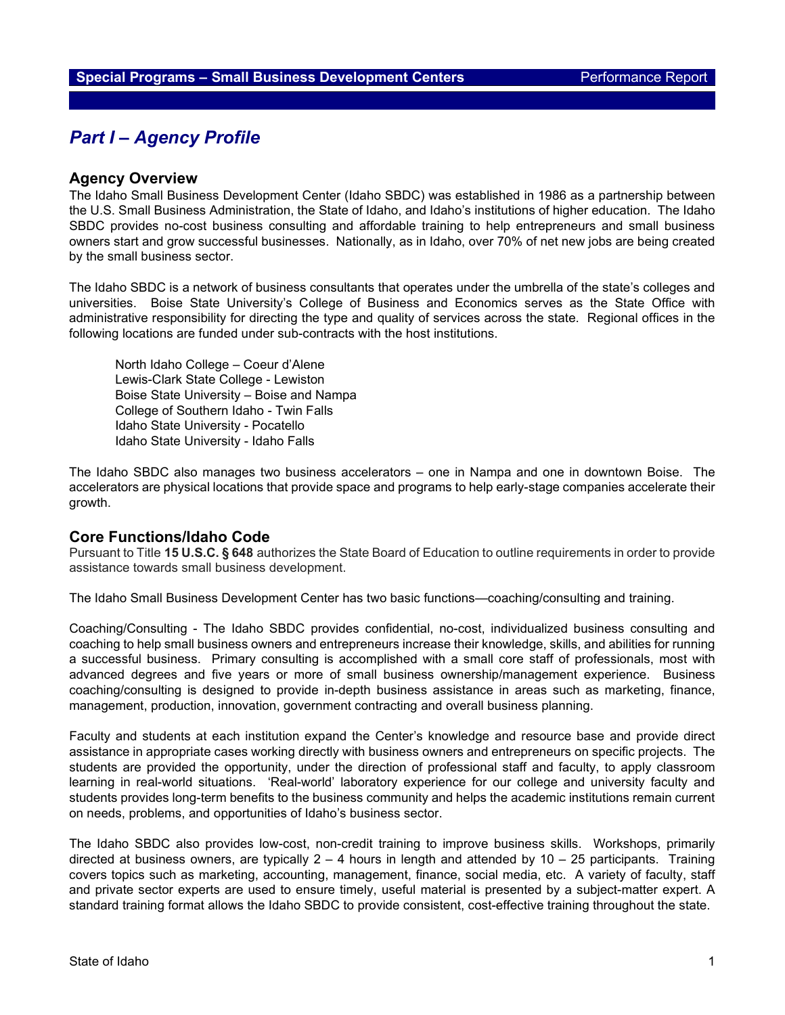## *Part I – Agency Profile*

### **Agency Overview**

The Idaho Small Business Development Center (Idaho SBDC) was established in 1986 as a partnership between the U.S. Small Business Administration, the State of Idaho, and Idaho's institutions of higher education. The Idaho SBDC provides no-cost business consulting and affordable training to help entrepreneurs and small business owners start and grow successful businesses. Nationally, as in Idaho, over 70% of net new jobs are being created by the small business sector.

The Idaho SBDC is a network of business consultants that operates under the umbrella of the state's colleges and universities. Boise State University's College of Business and Economics serves as the State Office with administrative responsibility for directing the type and quality of services across the state. Regional offices in the following locations are funded under sub-contracts with the host institutions.

North Idaho College – Coeur d'Alene Lewis-Clark State College - Lewiston Boise State University – Boise and Nampa College of Southern Idaho - Twin Falls Idaho State University - Pocatello Idaho State University - Idaho Falls

The Idaho SBDC also manages two business accelerators – one in Nampa and one in downtown Boise. The accelerators are physical locations that provide space and programs to help early-stage companies accelerate their growth.

### **Core Functions/Idaho Code**

Pursuant to Title **15 U.S.C. § 648** authorizes the State Board of Education to outline requirements in order to provide assistance towards small business development.

The Idaho Small Business Development Center has two basic functions—coaching/consulting and training.

Coaching/Consulting - The Idaho SBDC provides confidential, no-cost, individualized business consulting and coaching to help small business owners and entrepreneurs increase their knowledge, skills, and abilities for running a successful business. Primary consulting is accomplished with a small core staff of professionals, most with advanced degrees and five years or more of small business ownership/management experience. Business coaching/consulting is designed to provide in-depth business assistance in areas such as marketing, finance, management, production, innovation, government contracting and overall business planning.

Faculty and students at each institution expand the Center's knowledge and resource base and provide direct assistance in appropriate cases working directly with business owners and entrepreneurs on specific projects. The students are provided the opportunity, under the direction of professional staff and faculty, to apply classroom learning in real-world situations. 'Real-world' laboratory experience for our college and university faculty and students provides long-term benefits to the business community and helps the academic institutions remain current on needs, problems, and opportunities of Idaho's business sector.

The Idaho SBDC also provides low-cost, non-credit training to improve business skills. Workshops, primarily directed at business owners, are typically  $2 - 4$  hours in length and attended by  $10 - 25$  participants. Training covers topics such as marketing, accounting, management, finance, social media, etc. A variety of faculty, staff and private sector experts are used to ensure timely, useful material is presented by a subject-matter expert. A standard training format allows the Idaho SBDC to provide consistent, cost-effective training throughout the state.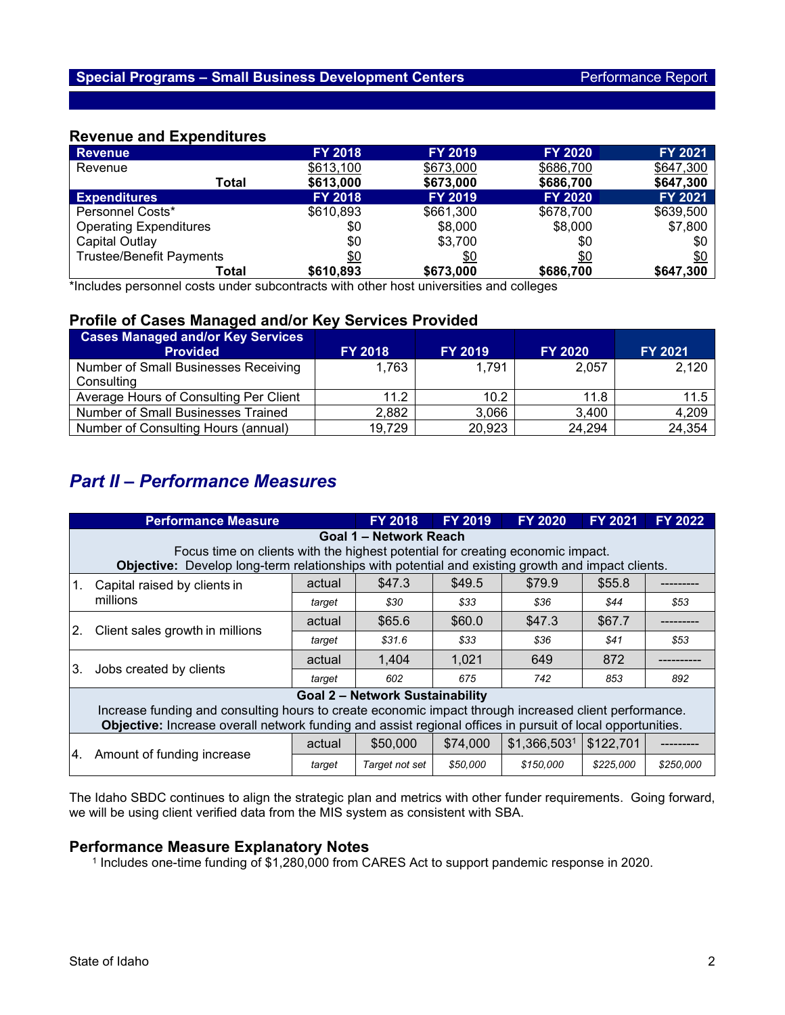### **Revenue and Expenditures**

| <b>Revenue</b>                  | <b>FY 2018</b> | <b>FY 2019</b> | <b>FY 2020</b> | <b>FY 2021</b> |
|---------------------------------|----------------|----------------|----------------|----------------|
| Revenue                         | \$613,100      | \$673,000      | \$686,700      | \$647,300      |
| Total                           | \$613,000      | \$673,000      | \$686,700      | \$647,300      |
| <b>Expenditures</b>             | <b>FY 2018</b> | <b>FY 2019</b> | <b>FY 2020</b> | FY 2021        |
| Personnel Costs*                | \$610,893      | \$661,300      | \$678,700      | \$639,500      |
| <b>Operating Expenditures</b>   | \$0            | \$8,000        | \$8,000        | \$7,800        |
| Capital Outlay                  | \$0            | \$3,700        | \$0            | \$0            |
| <b>Trustee/Benefit Payments</b> | \$0            | \$0            | \$0            | \$0            |
| Total                           | \$610,893      | \$673,000      | \$686,700      | \$647,300      |

\*Includes personnel costs under subcontracts with other host universities and colleges

## **Profile of Cases Managed and/or Key Services Provided**

| <b>Cases Managed and/or Key Services</b><br><b>Provided</b> | <b>FY 2018</b> | <b>FY 2019</b>    | <b>FY 2020</b> | FY 2021 |
|-------------------------------------------------------------|----------------|-------------------|----------------|---------|
| Number of Small Businesses Receiving                        | 1,763          | 1,791             | 2,057          | 2,120   |
| Consulting                                                  |                |                   |                |         |
| Average Hours of Consulting Per Client                      | 11.2           | 10.2 <sub>1</sub> | 11.8           | $11.5$  |
| <b>Number of Small Businesses Trained</b>                   | 2,882          | 3,066             | 3,400          | 4,209   |
| Number of Consulting Hours (annual)                         | 19,729         | 20,923            | 24,294         | 24,354  |

# *Part II – Performance Measures*

|                                                                                                                                                                                                                     | <b>Performance Measure</b>                                                                        |        | <b>FY 2018</b> | <b>FY 2019</b> | <b>FY 2020</b> | <b>FY 2021</b> | <b>FY 2022</b> |  |  |  |  |
|---------------------------------------------------------------------------------------------------------------------------------------------------------------------------------------------------------------------|---------------------------------------------------------------------------------------------------|--------|----------------|----------------|----------------|----------------|----------------|--|--|--|--|
|                                                                                                                                                                                                                     | Goal 1 – Network Reach                                                                            |        |                |                |                |                |                |  |  |  |  |
|                                                                                                                                                                                                                     | Focus time on clients with the highest potential for creating economic impact.                    |        |                |                |                |                |                |  |  |  |  |
|                                                                                                                                                                                                                     | Objective: Develop long-term relationships with potential and existing growth and impact clients. |        |                |                |                |                |                |  |  |  |  |
| 1.                                                                                                                                                                                                                  | Capital raised by clients in<br>millions                                                          | actual | \$47.3         | \$49.5         | \$79.9         | \$55.8         |                |  |  |  |  |
|                                                                                                                                                                                                                     |                                                                                                   | target | \$30           | \$33           | \$36           | \$44           | \$53           |  |  |  |  |
| 2.                                                                                                                                                                                                                  | Client sales growth in millions                                                                   | actual | \$65.6         | \$60.0         | \$47.3         | \$67.7         |                |  |  |  |  |
|                                                                                                                                                                                                                     |                                                                                                   | target | \$31.6         | \$33           | \$36           | \$41           | \$53           |  |  |  |  |
| 3.                                                                                                                                                                                                                  | Jobs created by clients                                                                           | actual | 1,404          | 1,021          | 649            | 872            |                |  |  |  |  |
|                                                                                                                                                                                                                     |                                                                                                   | target | 602            | 675            | 742            | 853            | 892            |  |  |  |  |
|                                                                                                                                                                                                                     | <b>Goal 2 - Network Sustainability</b>                                                            |        |                |                |                |                |                |  |  |  |  |
| Increase funding and consulting hours to create economic impact through increased client performance.<br>Objective: Increase overall network funding and assist regional offices in pursuit of local opportunities. |                                                                                                   |        |                |                |                |                |                |  |  |  |  |
| I4.                                                                                                                                                                                                                 | Amount of funding increase                                                                        | actual | \$50,000       | \$74,000       | \$1,366,5031   | \$122,701      |                |  |  |  |  |
|                                                                                                                                                                                                                     |                                                                                                   | target | Target not set | \$50,000       | \$150,000      | \$225,000      | \$250,000      |  |  |  |  |

The Idaho SBDC continues to align the strategic plan and metrics with other funder requirements. Going forward, we will be using client verified data from the MIS system as consistent with SBA.

#### **Performance Measure Explanatory Notes**

<sup>1</sup> Includes one-time funding of \$1,280,000 from CARES Act to support pandemic response in 2020.